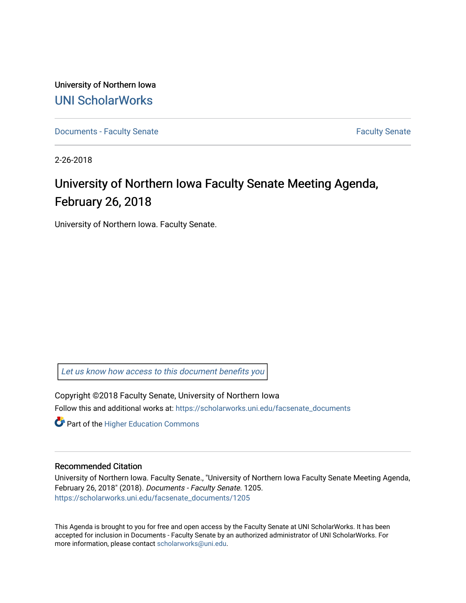University of Northern Iowa [UNI ScholarWorks](https://scholarworks.uni.edu/) 

[Documents - Faculty Senate](https://scholarworks.uni.edu/facsenate_documents) [Faculty Senate](https://scholarworks.uni.edu/facsenate) Faculty Senate

2-26-2018

# University of Northern Iowa Faculty Senate Meeting Agenda, February 26, 2018

University of Northern Iowa. Faculty Senate.

[Let us know how access to this document benefits you](https://scholarworks.uni.edu/feedback_form.html) 

Copyright ©2018 Faculty Senate, University of Northern Iowa Follow this and additional works at: [https://scholarworks.uni.edu/facsenate\\_documents](https://scholarworks.uni.edu/facsenate_documents?utm_source=scholarworks.uni.edu%2Ffacsenate_documents%2F1205&utm_medium=PDF&utm_campaign=PDFCoverPages) 

**Part of the Higher Education Commons** 

#### Recommended Citation

University of Northern Iowa. Faculty Senate., "University of Northern Iowa Faculty Senate Meeting Agenda, February 26, 2018" (2018). Documents - Faculty Senate. 1205. [https://scholarworks.uni.edu/facsenate\\_documents/1205](https://scholarworks.uni.edu/facsenate_documents/1205?utm_source=scholarworks.uni.edu%2Ffacsenate_documents%2F1205&utm_medium=PDF&utm_campaign=PDFCoverPages) 

This Agenda is brought to you for free and open access by the Faculty Senate at UNI ScholarWorks. It has been accepted for inclusion in Documents - Faculty Senate by an authorized administrator of UNI ScholarWorks. For more information, please contact [scholarworks@uni.edu.](mailto:scholarworks@uni.edu)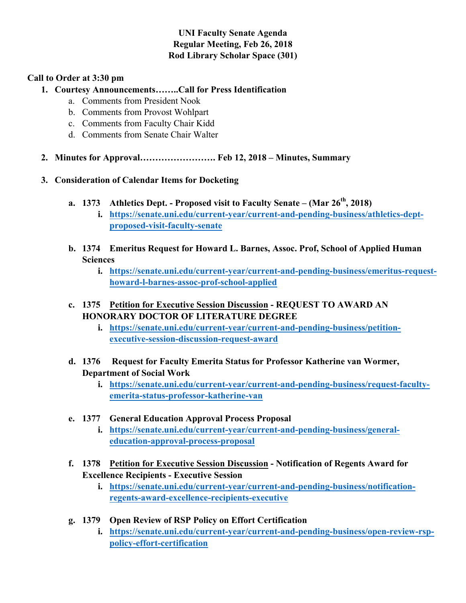# **UNI Faculty Senate Agenda Regular Meeting, Feb 26, 2018 Rod Library Scholar Space (301)**

#### **Call to Order at 3:30 pm**

# **1. Courtesy Announcements……..Call for Press Identification**

- a. Comments from President Nook
- b. Comments from Provost Wohlpart
- c. Comments from Faculty Chair Kidd
- d. Comments from Senate Chair Walter
- **2. Minutes for Approval……………………. Feb 12, 2018 – Minutes, Summary**
- **3. Consideration of Calendar Items for Docketing**
	- **a. 1373 Athletics Dept. - Proposed visit to Faculty Senate – (Mar 26th, 2018)**
		- **i. https://senate.uni.edu/current-year/current-and-pending-business/athletics-deptproposed-visit-faculty-senate**
	- **b. 1374 Emeritus Request for Howard L. Barnes, Assoc. Prof, School of Applied Human Sciences**
		- **i. https://senate.uni.edu/current-year/current-and-pending-business/emeritus-requesthoward-l-barnes-assoc-prof-school-applied**
	- **c. 1375 Petition for Executive Session Discussion - REQUEST TO AWARD AN HONORARY DOCTOR OF LITERATURE DEGREE**
		- **i. https://senate.uni.edu/current-year/current-and-pending-business/petitionexecutive-session-discussion-request-award**
	- **d. 1376 Request for Faculty Emerita Status for Professor Katherine van Wormer, Department of Social Work**
		- **i. https://senate.uni.edu/current-year/current-and-pending-business/request-facultyemerita-status-professor-katherine-van**
	- **e. 1377 General Education Approval Process Proposal**
		- **i. https://senate.uni.edu/current-year/current-and-pending-business/generaleducation-approval-process-proposal**
	- **f. 1378 Petition for Executive Session Discussion - Notification of Regents Award for Excellence Recipients - Executive Session**
		- **i. https://senate.uni.edu/current-year/current-and-pending-business/notificationregents-award-excellence-recipients-executive**
	- **g. 1379 Open Review of RSP Policy on Effort Certification**
		- **i. https://senate.uni.edu/current-year/current-and-pending-business/open-review-rsppolicy-effort-certification**